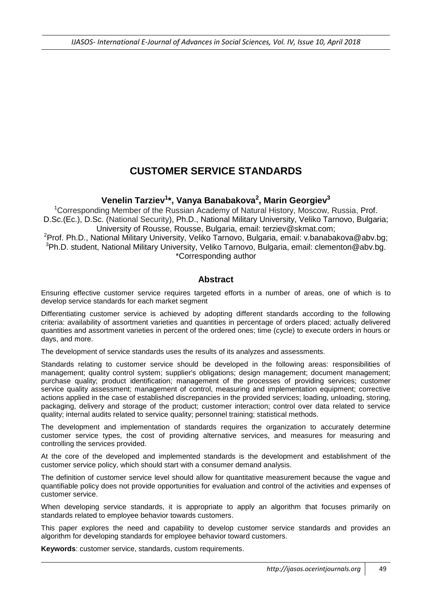# **CUSTOMER SERVICE STANDARDS**

## **Venelin Tarziev<sup>1</sup> \*, Vanya Banabakova<sup>2</sup> , Marin Georgiev<sup>3</sup>**

<sup>1</sup>Corresponding Member of the Russian Academy of Natural History, Moscow, Russia, Prof. D.Sc.(Ec.), D.Sc. (National Security), Ph.D., National Military University, Veliko Tarnovo, Bulgaria; University of Rousse, Rousse, Bulgaria, email: [terziev@skmat.com;](mailto:terziev@skmat.com)

<sup>2</sup>Prof. Ph.D., National Military University, Veliko Tarnovo, Bulgaria, email: [v.banabakova@abv.bg;](mailto:v.banabakova@abv.bg) <sup>3</sup>Ph.D. student, National Military University, Veliko Tarnovo, Bulgaria, email: [clementon@abv.bg.](mailto:clementon@abv.bg) \*Corresponding author

### **Abstract**

Ensuring effective customer service requires targeted efforts in a number of areas, one of which is to develop service standards for each market segment

Differentiating customer service is achieved by adopting different standards according to the following criteria: availability of assortment varieties and quantities in percentage of orders placed; actually delivered quantities and assortment varieties in percent of the ordered ones; time (cycle) to execute orders in hours or days, and more.

The development of service standards uses the results of its analyzes and assessments.

Standards relating to customer service should be developed in the following areas: responsibilities of management; quality control system; supplier's obligations; design management; document management; purchase quality; product identification; management of the processes of providing services; customer service quality assessment; management of control, measuring and implementation equipment; corrective actions applied in the case of established discrepancies in the provided services; loading, unloading, storing, packaging, delivery and storage of the product; customer interaction; control over data related to service quality; internal audits related to service quality; personnel training; statistical methods.

The development and implementation of standards requires the organization to accurately determine customer service types, the cost of providing alternative services, and measures for measuring and controlling the services provided.

At the core of the developed and implemented standards is the development and establishment of the customer service policy, which should start with a consumer demand analysis.

The definition of customer service level should allow for quantitative measurement because the vague and quantifiable policy does not provide opportunities for evaluation and control of the activities and expenses of customer service.

When developing service standards, it is appropriate to apply an algorithm that focuses primarily on standards related to employee behavior towards customers.

This paper explores the need and capability to develop customer service standards and provides an algorithm for developing standards for employee behavior toward customers.

**Keywords**: customer service, standards, custom requirements.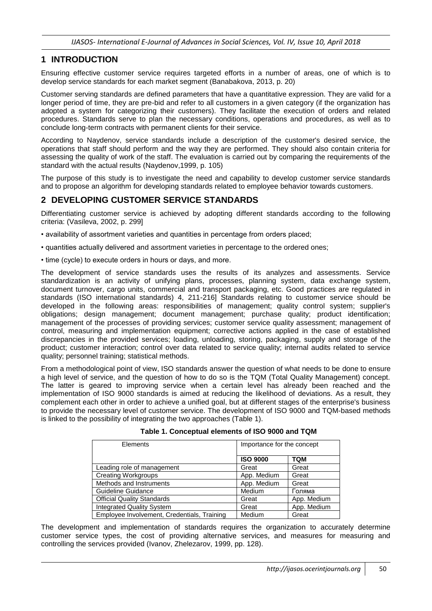#### **1 INTRODUCTION**

Ensuring effective customer service requires targeted efforts in a number of areas, one of which is to develop service standards for each market segment (Banabakova, 2013, p. 20)

Customer serving standards are defined parameters that have a quantitative expression. They are valid for a longer period of time, they are pre-bid and refer to all customers in a given category (if the organization has adopted a system for categorizing their customers). They facilitate the execution of orders and related procedures. Standards serve to plan the necessary conditions, operations and procedures, as well as to conclude long-term contracts with permanent clients for their service.

According to Naydenov, service standards include a description of the customer's desired service, the operations that staff should perform and the way they are performed. They should also contain criteria for assessing the quality of work of the staff. The evaluation is carried out by comparing the requirements of the standard with the actual results (Naydenov,1999, p. 105)

The purpose of this study is to investigate the need and capability to develop customer service standards and to propose an algorithm for developing standards related to employee behavior towards customers.

#### **2 DEVELOPING CUSTOMER SERVICE STANDARDS**

Differentiating customer service is achieved by adopting different standards according to the following criteria: (Vasileva, 2002, p. 299]

- availability of assortment varieties and quantities in percentage from orders placed;
- quantities actually delivered and assortment varieties in percentage to the ordered ones;
- time (cycle) to execute orders in hours or days, and more.

The development of service standards uses the results of its analyzes and assessments. Service standardization is an activity of unifying plans, processes, planning system, data exchange system, document turnover, cargo units, commercial and transport packaging, etc. Good practices are regulated in standards (ISO international standards) 4, 211-216] Standards relating to customer service should be developed in the following areas: responsibilities of management; quality control system; supplier's obligations; design management; document management; purchase quality; product identification; management of the processes of providing services; customer service quality assessment; management of control, measuring and implementation equipment; corrective actions applied in the case of established discrepancies in the provided services; loading, unloading, storing, packaging, supply and storage of the product; customer interaction; control over data related to service quality; internal audits related to service quality; personnel training; statistical methods.

From a methodological point of view, ISO standards answer the question of what needs to be done to ensure a high level of service, and the question of how to do so is the TQM (Total Quality Management) concept. The latter is geared to improving service when a certain level has already been reached and the implementation of ISO 9000 standards is aimed at reducing the likelihood of deviations. As a result, they complement each other in order to achieve a unified goal, but at different stages of the enterprise's business to provide the necessary level of customer service. The development of ISO 9000 and TQM-based methods is linked to the possibility of integrating the two approaches (Table 1).

| Elements                                    | Importance for the concept |             |
|---------------------------------------------|----------------------------|-------------|
|                                             | <b>ISO 9000</b>            | <b>TQM</b>  |
| Leading role of management                  | Great                      | Great       |
| <b>Creating Workgroups</b>                  | App. Medium                | Great       |
| Methods and Instruments                     | App. Medium                | Great       |
| Guideline Guidance                          | Medium                     | Голяма      |
| <b>Official Quality Standards</b>           | Great                      | App. Medium |
| <b>Integrated Quality System</b>            | Great                      | App. Medium |
| Employee Involvement, Credentials, Training | Medium                     | Great       |

The development and implementation of standards requires the organization to accurately determine customer service types, the cost of providing alternative services, and measures for measuring and controlling the services provided (Ivanov, Zhelezarov, 1999, pp. 128).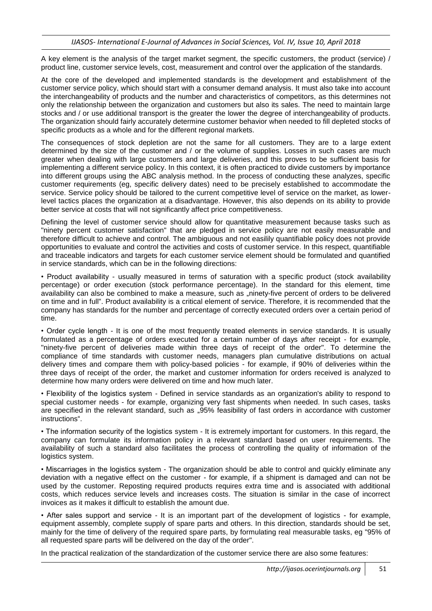A key element is the analysis of the target market segment, the specific customers, the product (service) / product line, customer service levels, cost, measurement and control over the application of the standards.

At the core of the developed and implemented standards is the development and establishment of the customer service policy, which should start with a consumer demand analysis. It must also take into account the interchangeability of products and the number and characteristics of competitors, as this determines not only the relationship between the organization and customers but also its sales. The need to maintain large stocks and / or use additional transport is the greater the lower the degree of interchangeability of products. The organization should fairly accurately determine customer behavior when needed to fill depleted stocks of specific products as a whole and for the different regional markets.

The consequences of stock depletion are not the same for all customers. They are to a large extent determined by the size of the customer and / or the volume of supplies. Losses in such cases are much greater when dealing with large customers and large deliveries, and this proves to be sufficient basis for implementing a different service policy. In this context, it is often practiced to divide customers by importance into different groups using the ABC analysis method. In the process of conducting these analyzes, specific customer requirements (eg, specific delivery dates) need to be precisely established to accommodate the service. Service policy should be tailored to the current competitive level of service on the market, as lowerlevel tactics places the organization at a disadvantage. However, this also depends on its ability to provide better service at costs that will not significantly affect price competitiveness.

Defining the level of customer service should allow for quantitative measurement because tasks such as "ninety percent customer satisfaction" that are pledged in service policy are not easily measurable and therefore difficult to achieve and control. The ambiguous and not easilily quantifiable policy does not provide opportunities to evaluate and control the activities and costs of customer service. In this respect, quantifiable and traceable indicators and targets for each customer service element should be formulated and quantified in service standards, which can be in the following directions:

• Product availability - usually measured in terms of saturation with a specific product (stock availability percentage) or order execution (stock performance percentage). In the standard for this element, time availability can also be combined to make a measure, such as "ninety-five percent of orders to be delivered on time and in full". Product availability is a critical element of service. Therefore, it is recommended that the company has standards for the number and percentage of correctly executed orders over a certain period of time.

• Order cycle length - It is one of the most frequently treated elements in service standards. It is usually formulated as a percentage of orders executed for a certain number of days after receipt - for example, "ninety-five percent of deliveries made within three days of receipt of the order". To determine the compliance of time standards with customer needs, managers plan cumulative distributions on actual delivery times and compare them with policy-based policies - for example, if 90% of deliveries within the three days of receipt of the order, the market and customer information for orders received is analyzed to determine how many orders were delivered on time and how much later.

• Flexibility of the logistics system - Defined in service standards as an organization's ability to respond to special customer needs - for example, organizing very fast shipments when needed. In such cases, tasks are specified in the relevant standard, such as "95% feasibility of fast orders in accordance with customer instructions".

• The information security of the logistics system - It is extremely important for customers. In this regard, the company can formulate its information policy in a relevant standard based on user requirements. The availability of such a standard also facilitates the process of controlling the quality of information of the logistics system.

• Miscarriages in the logistics system - The organization should be able to control and quickly eliminate any deviation with a negative effect on the customer - for example, if a shipment is damaged and can not be used by the customer. Reposting required products requires extra time and is associated with additional costs, which reduces service levels and increases costs. The situation is similar in the case of incorrect invoices as it makes it difficult to establish the amount due.

• After sales support and service - It is an important part of the development of logistics - for example, equipment assembly, complete supply of spare parts and others. In this direction, standards should be set, mainly for the time of delivery of the required spare parts, by formulating real measurable tasks, eg "95% of all requested spare parts will be delivered on the day of the order".

In the practical realization of the standardization of the customer service there are also some features: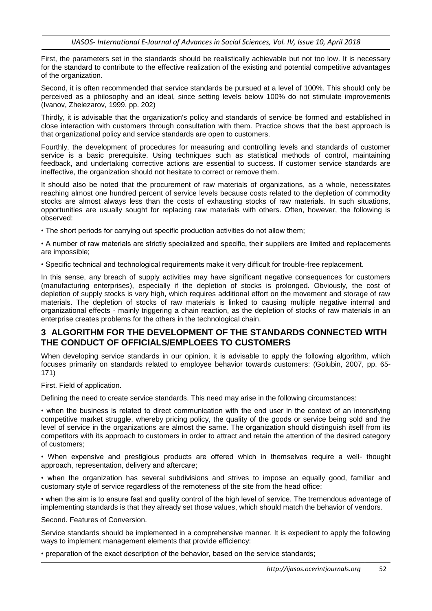First, the parameters set in the standards should be realistically achievable but not too low. It is necessary for the standard to contribute to the effective realization of the existing and potential competitive advantages of the organization.

Second, it is often recommended that service standards be pursued at a level of 100%. This should only be perceived as a philosophy and an ideal, since setting levels below 100% do not stimulate improvements (Ivanov, Zhelezarov, 1999, pp. 202)

Thirdly, it is advisable that the organization's policy and standards of service be formed and established in close interaction with customers through consultation with them. Practice shows that the best approach is that organizational policy and service standards are open to customers.

Fourthly, the development of procedures for measuring and controlling levels and standards of customer service is a basic prerequisite. Using techniques such as statistical methods of control, maintaining feedback, and undertaking corrective actions are essential to success. If customer service standards are ineffective, the organization should not hesitate to correct or remove them.

It should also be noted that the procurement of raw materials of organizations, as a whole, necessitates reaching almost one hundred percent of service levels because costs related to the depletion of commodity stocks are almost always less than the costs of exhausting stocks of raw materials. In such situations, opportunities are usually sought for replacing raw materials with others. Often, however, the following is observed:

• The short periods for carrying out specific production activities do not allow them;

• A number of raw materials are strictly specialized and specific, their suppliers are limited and replacements are impossible;

• Specific technical and technological requirements make it very difficult for trouble-free replacement.

In this sense, any breach of supply activities may have significant negative consequences for customers (manufacturing enterprises), especially if the depletion of stocks is prolonged. Obviously, the cost of depletion of supply stocks is very high, which requires additional effort on the movement and storage of raw materials. The depletion of stocks of raw materials is linked to causing multiple negative internal and organizational effects - mainly triggering a chain reaction, as the depletion of stocks of raw materials in an enterprise creates problems for the others in the technological chain.

#### **3 ALGORITHM FOR THE DEVELOPMENT OF THE STANDARDS CONNECTED WITH THE CONDUCT OF OFFICIALS/EMPLOEES TO CUSTOMERS**

When developing service standards in our opinion, it is advisable to apply the following algorithm, which focuses primarily on standards related to employee behavior towards customers: (Golubin, 2007, pp. 65- 171)

First. Field of application.

Defining the need to create service standards. This need may arise in the following circumstances:

• when the business is related to direct communication with the end user in the context of an intensifying competitive market struggle, whereby pricing policy, the quality of the goods or service being sold and the level of service in the organizations are almost the same. The organization should distinguish itself from its competitors with its approach to customers in order to attract and retain the attention of the desired category of customers;

• When expensive and prestigious products are offered which in themselves require a well- thought approach, representation, delivery and aftercare;

• when the organization has several subdivisions and strives to impose an equally good, familiar and customary style of service regardless of the remoteness of the site from the head office;

• when the aim is to ensure fast and quality control of the high level of service. The tremendous advantage of implementing standards is that they already set those values, which should match the behavior of vendors.

Second. Features of Conversion.

Service standards should be implemented in a comprehensive manner. It is expedient to apply the following ways to implement management elements that provide efficiency:

• preparation of the exact description of the behavior, based on the service standards;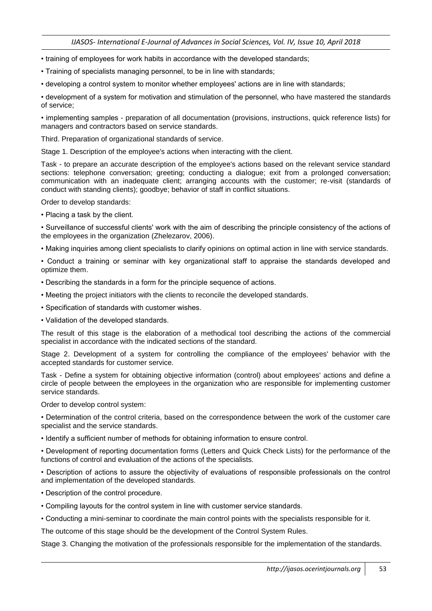- training of employees for work habits in accordance with the developed standards;
- Training of specialists managing personnel, to be in line with standards;
- developing a control system to monitor whether employees' actions are in line with standards;

• development of a system for motivation and stimulation of the personnel, who have mastered the standards of service;

• implementing samples - preparation of all documentation (provisions, instructions, quick reference lists) for managers and contractors based on service standards.

Third. Preparation of organizational standards of service.

Stage 1. Description of the employee's actions when interacting with the client.

Task - to prepare an accurate description of the employee's actions based on the relevant service standard sections: telephone conversation; greeting; conducting a dialogue; exit from a prolonged conversation; communication with an inadequate client; arranging accounts with the customer; re-visit (standards of conduct with standing clients); goodbye; behavior of staff in conflict situations.

Order to develop standards:

• Placing a task by the client.

• Surveillance of successful clients' work with the aim of describing the principle consistency of the actions of the employees in the organization (Zhelezarov, 2006).

• Making inquiries among client specialists to clarify opinions on optimal action in line with service standards.

• Conduct a training or seminar with key organizational staff to appraise the standards developed and optimize them.

- Describing the standards in a form for the principle sequence of actions.
- Meeting the project initiators with the clients to reconcile the developed standards.
- Specification of standards with customer wishes.
- Validation of the developed standards.

The result of this stage is the elaboration of a methodical tool describing the actions of the commercial specialist in accordance with the indicated sections of the standard.

Stage 2. Development of a system for controlling the compliance of the employees' behavior with the accepted standards for customer service.

Task - Define a system for obtaining objective information (control) about employees' actions and define a circle of people between the employees in the organization who are responsible for implementing customer service standards.

Order to develop control system:

• Determination of the control criteria, based on the correspondence between the work of the customer care specialist and the service standards.

• Identify a sufficient number of methods for obtaining information to ensure control.

• Development of reporting documentation forms (Letters and Quick Check Lists) for the performance of the functions of control and evaluation of the actions of the specialists.

• Description of actions to assure the objectivity of evaluations of responsible professionals on the control and implementation of the developed standards.

• Description of the control procedure.

- Compiling layouts for the control system in line with customer service standards.
- Conducting a mini-seminar to coordinate the main control points with the specialists responsible for it.

The outcome of this stage should be the development of the Control System Rules.

Stage 3. Changing the motivation of the professionals responsible for the implementation of the standards.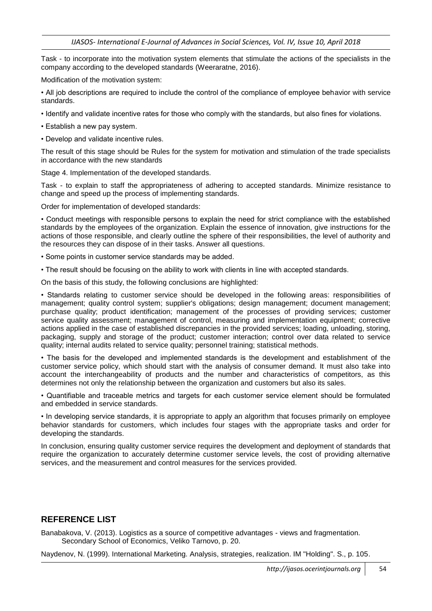Task - to incorporate into the motivation system elements that stimulate the actions of the specialists in the company according to the developed standards (Weeraratne, 2016).

Modification of the motivation system:

• All job descriptions are required to include the control of the compliance of employee behavior with service standards.

- Identify and validate incentive rates for those who comply with the standards, but also fines for violations.
- Establish a new pay system.
- Develop and validate incentive rules.

The result of this stage should be Rules for the system for motivation and stimulation of the trade specialists in accordance with the new standards

Stage 4. Implementation of the developed standards.

Task - to explain to staff the appropriateness of adhering to accepted standards. Minimize resistance to change and speed up the process of implementing standards.

Order for implementation of developed standards:

• Conduct meetings with responsible persons to explain the need for strict compliance with the established standards by the employees of the organization. Explain the essence of innovation, give instructions for the actions of those responsible, and clearly outline the sphere of their responsibilities, the level of authority and the resources they can dispose of in their tasks. Answer all questions.

- Some points in customer service standards may be added.
- The result should be focusing on the ability to work with clients in line with accepted standards.

On the basis of this study, the following conclusions are highlighted:

• Standards relating to customer service should be developed in the following areas: responsibilities of management; quality control system; supplier's obligations; design management; document management; purchase quality; product identification; management of the processes of providing services; customer service quality assessment; management of control, measuring and implementation equipment; corrective actions applied in the case of established discrepancies in the provided services; loading, unloading, storing, packaging, supply and storage of the product; customer interaction; control over data related to service quality; internal audits related to service quality; personnel training; statistical methods.

• The basis for the developed and implemented standards is the development and establishment of the customer service policy, which should start with the analysis of consumer demand. It must also take into account the interchangeability of products and the number and characteristics of competitors, as this determines not only the relationship between the organization and customers but also its sales.

• Quantifiable and traceable metrics and targets for each customer service element should be formulated and embedded in service standards.

• In developing service standards, it is appropriate to apply an algorithm that focuses primarily on employee behavior standards for customers, which includes four stages with the appropriate tasks and order for developing the standards.

In conclusion, ensuring quality customer service requires the development and deployment of standards that require the organization to accurately determine customer service levels, the cost of providing alternative services, and the measurement and control measures for the services provided.

#### **REFERENCE LIST**

Banabakova, V. (2013). Logistics as a source of competitive advantages - views and fragmentation. Secondary School of Economics, Veliko Tarnovo, p. 20.

Naydenov, N. (1999). International Marketing. Analysis, strategies, realization. IM "Holding". S., p. 105.